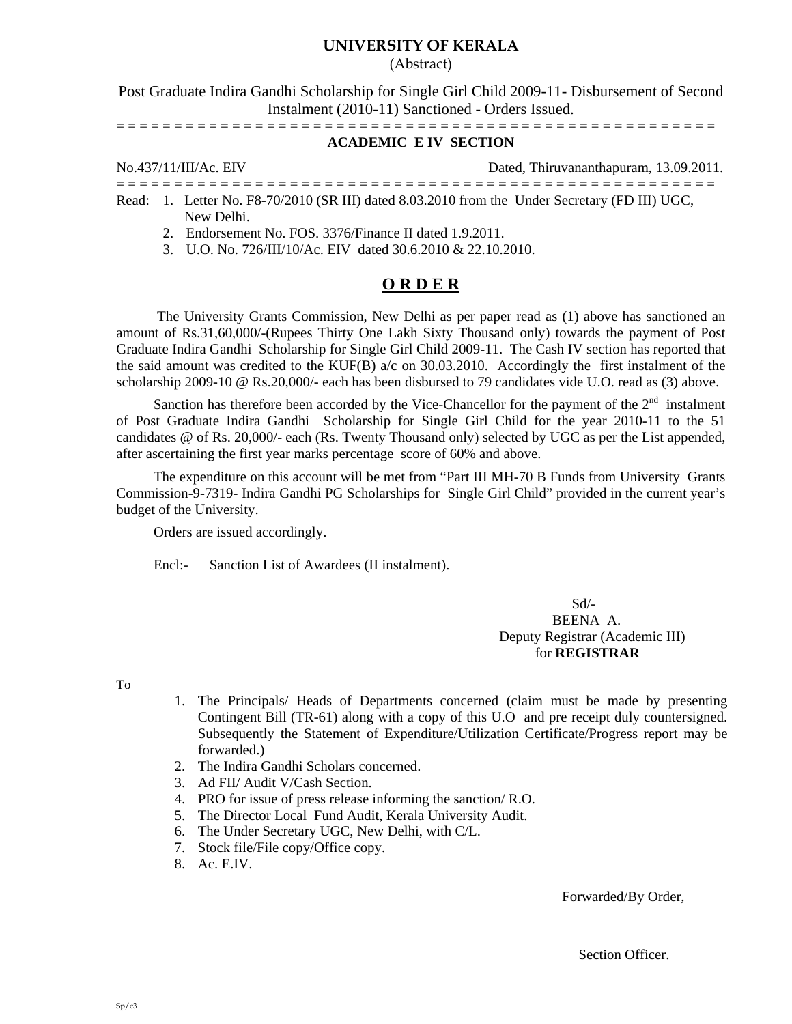### **UNIVERSITY OF KERALA**

(Abstract)

Post Graduate Indira Gandhi Scholarship for Single Girl Child 2009-11- Disbursement of Second Instalment (2010-11) Sanctioned - Orders Issued.

= = = = = = = = = = = = = = = = = = = = = = = = = = = = = = = = = = = = = = = = = = = = = = = = = = = =

### **ACADEMIC E IV SECTION**

No.437/11/III/Ac. EIV Dated, Thiruvananthapuram, 13.09.2011. = = = = = = = = = = = = = = = = = = = = = = = = = = = = = = = = = = = = = = = = = = = = = = = = = = = =

- Read: 1. Letter No. F8-70/2010 (SR III) dated 8.03.2010 from the Under Secretary (FD III) UGC, New Delhi.
	- 2. Endorsement No. FOS. 3376/Finance II dated 1.9.2011.
	- 3. U.O. No. 726/III/10/Ac. EIV dated 30.6.2010 & 22.10.2010.

#### **O R D E R**

 The University Grants Commission, New Delhi as per paper read as (1) above has sanctioned an amount of Rs.31,60,000/-(Rupees Thirty One Lakh Sixty Thousand only) towards the payment of Post Graduate Indira Gandhi Scholarship for Single Girl Child 2009-11. The Cash IV section has reported that the said amount was credited to the KUF(B) a/c on 30.03.2010. Accordingly the first instalment of the scholarship 2009-10 @ Rs.20,000/- each has been disbursed to 79 candidates vide U.O. read as (3) above.

Sanction has therefore been accorded by the Vice-Chancellor for the payment of the  $2<sup>nd</sup>$  instalment of Post Graduate Indira Gandhi Scholarship for Single Girl Child for the year 2010-11 to the 51 candidates @ of Rs. 20,000/- each (Rs. Twenty Thousand only) selected by UGC as per the List appended, after ascertaining the first year marks percentage score of 60% and above.

The expenditure on this account will be met from "Part III MH-70 B Funds from University Grants Commission-9-7319- Indira Gandhi PG Scholarships for Single Girl Child" provided in the current year's budget of the University.

Orders are issued accordingly.

Encl:- Sanction List of Awardees (II instalment).

 Sd/- BEENA A. Deputy Registrar (Academic III) for **REGISTRAR** 

To

- 1. The Principals/ Heads of Departments concerned (claim must be made by presenting Contingent Bill (TR-61) along with a copy of this U.O and pre receipt duly countersigned. Subsequently the Statement of Expenditure/Utilization Certificate/Progress report may be forwarded.)
- 2. The Indira Gandhi Scholars concerned.
- 3. Ad FII/ Audit V/Cash Section.
- 4. PRO for issue of press release informing the sanction/ R.O.
- 5. The Director Local Fund Audit, Kerala University Audit.
- 6. The Under Secretary UGC, New Delhi, with C/L.
- 7. Stock file/File copy/Office copy.
- 8. Ac. E.IV.

Forwarded/By Order,

Section Officer.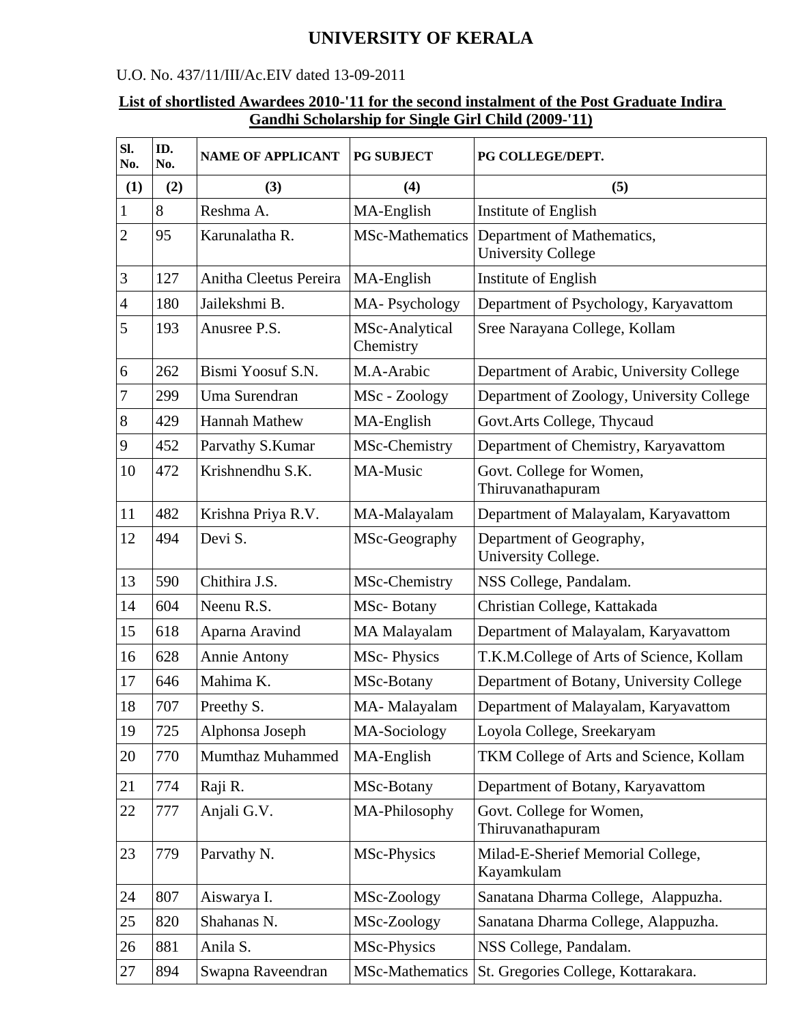# **UNIVERSITY OF KERALA**

## U.O. No. 437/11/III/Ac.EIV dated 13-09-2011

## **List of shortlisted Awardees 2010-'11 for the second instalment of the Post Graduate Indira Gandhi Scholarship for Single Girl Child (2009-'11)**

| SI.<br>No.     | ID.<br>No. | <b>NAME OF APPLICANT</b> | <b>PG SUBJECT</b>           | PG COLLEGE/DEPT.                                        |
|----------------|------------|--------------------------|-----------------------------|---------------------------------------------------------|
| (1)            | (2)        | (3)                      | (4)                         | (5)                                                     |
| $\mathbf{1}$   | 8          | Reshma A.                | MA-English                  | Institute of English                                    |
| $\overline{2}$ | 95         | Karunalatha R.           | <b>MSc-Mathematics</b>      | Department of Mathematics,<br><b>University College</b> |
| 3              | 127        | Anitha Cleetus Pereira   | MA-English                  | Institute of English                                    |
| $\overline{4}$ | 180        | Jailekshmi B.            | MA-Psychology               | Department of Psychology, Karyavattom                   |
| 5              | 193        | Anusree P.S.             | MSc-Analytical<br>Chemistry | Sree Narayana College, Kollam                           |
| 6              | 262        | Bismi Yoosuf S.N.        | M.A-Arabic                  | Department of Arabic, University College                |
| $\tau$         | 299        | Uma Surendran            | MSc - Zoology               | Department of Zoology, University College               |
| $8\,$          | 429        | <b>Hannah Mathew</b>     | MA-English                  | Govt.Arts College, Thycaud                              |
| 9              | 452        | Parvathy S.Kumar         | MSc-Chemistry               | Department of Chemistry, Karyavattom                    |
| 10             | 472        | Krishnendhu S.K.         | MA-Music                    | Govt. College for Women,<br>Thiruvanathapuram           |
| 11             | 482        | Krishna Priya R.V.       | MA-Malayalam                | Department of Malayalam, Karyavattom                    |
| 12             | 494        | Devi S.                  | MSc-Geography               | Department of Geography,<br>University College.         |
| 13             | 590        | Chithira J.S.            | MSc-Chemistry               | NSS College, Pandalam.                                  |
| 14             | 604        | Neenu R.S.               | MSc-Botany                  | Christian College, Kattakada                            |
| 15             | 618        | Aparna Aravind           | <b>MA Malayalam</b>         | Department of Malayalam, Karyavattom                    |
| 16             | 628        | Annie Antony             | <b>MSc-Physics</b>          | T.K.M.College of Arts of Science, Kollam                |
| 17             | 646        | Mahima K.                | MSc-Botany                  | Department of Botany, University College                |
| 18             | 707        | Preethy S.               | MA-Malayalam                | Department of Malayalam, Karyavattom                    |
| 19             | 725        | Alphonsa Joseph          | MA-Sociology                | Loyola College, Sreekaryam                              |
| 20             | 770        | Mumthaz Muhammed         | MA-English                  | TKM College of Arts and Science, Kollam                 |
| 21             | 774        | Raji R.                  | MSc-Botany                  | Department of Botany, Karyavattom                       |
| 22             | 777        | Anjali G.V.              | MA-Philosophy               | Govt. College for Women,<br>Thiruvanathapuram           |
| 23             | 779        | Parvathy N.              | MSc-Physics                 | Milad-E-Sherief Memorial College,<br>Kayamkulam         |
| 24             | 807        | Aiswarya I.              | MSc-Zoology                 | Sanatana Dharma College, Alappuzha.                     |
| 25             | 820        | Shahanas N.              | MSc-Zoology                 | Sanatana Dharma College, Alappuzha.                     |
| 26             | 881        | Anila S.                 | MSc-Physics                 | NSS College, Pandalam.                                  |
| 27             | 894        | Swapna Raveendran        | MSc-Mathematics             | St. Gregories College, Kottarakara.                     |